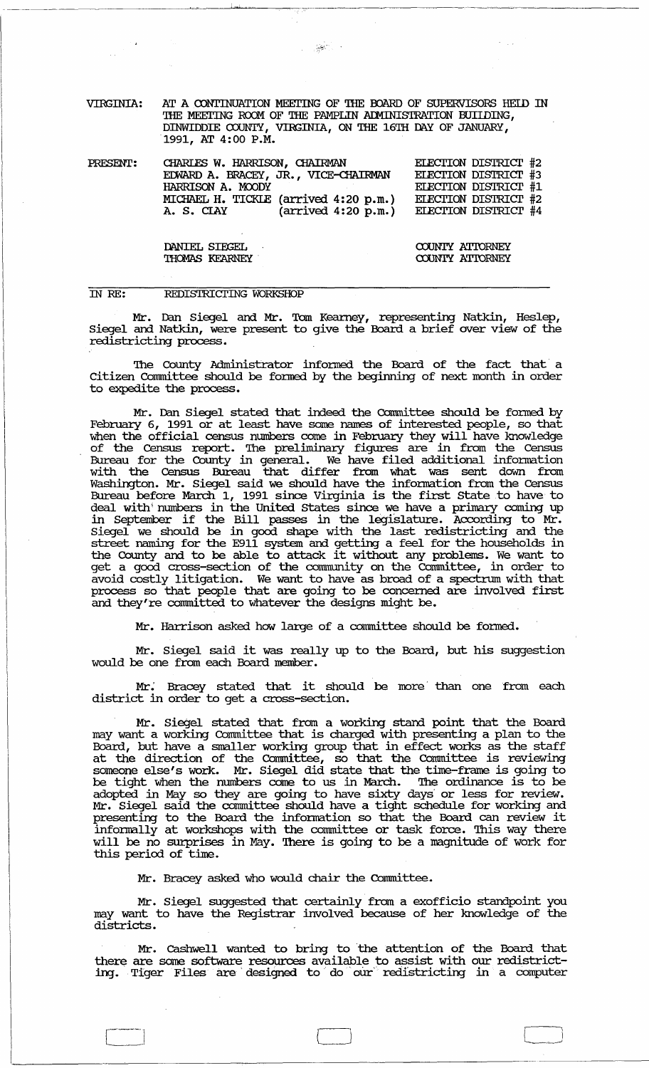AT A CONTINUATION MEETING OF THE BOARD OF SUPERVISORS HELD IN VIRGINIA: THE MEETING ROOM OF THE PAMPLIN ADMINISTRATION BUILDING, DINWIDDIE COUNTY, VIRGINIA, ON THE 16TH DAY OF JANUARY, 1991, AT 4:00 P.M.

| PRESENT: | CHARLES W. HARRISON, CHAIRMAN<br>EDWARD A. BRACEY, JR., VICE-CHAIRMAN |                                       | ELECTION DISTRICT #2<br>ELECTION DISTRICT #3        |  |
|----------|-----------------------------------------------------------------------|---------------------------------------|-----------------------------------------------------|--|
|          | HARRISON A. MOODY                                                     | MICHAEL H. TICKLE (arrived 4:20 p.m.) | <b>ELECTION DISTRICT #1</b><br>ELECTION DISTRICT #2 |  |
|          | A. S. CIAY                                                            | $\text{(arrived 4:20 p.m.)}$          | ELECTION DISTRICT #4                                |  |
|          | DANIEL SIEGEL<br><b>THOMAS KEARNEY</b>                                |                                       | COUNTY ATTORNEY<br>COUNTY ATTORNEY                  |  |
|          |                                                                       |                                       |                                                     |  |

#### IN RE: REDISTRICTING WORKSHOP

Mr. Dan Siegel and Mr. Tom Kearney, representing Natkin, Heslep, Siegel and Natkin, were present to give the Board a brief over view of the redistricting process.

The County Administrator informed the Board of the fact that a Citizen Committee should be formed by the beginning of next month in order to expedite the process.

Mr. Dan Siegel stated that indeed the Committee should be formed by February 6, 1991 or at least have some names of interested people, so that when the official census numbers come in February they will have knowledge<br>of the Census report. The preliminary figures are in from the Census<br>Bureau for the County in general. We have filed additional information<br>with th with the Census Bureau that differ from what was sent down from<br>Washington. Mr. Siegel said we should have the information from the Census<br>Bureau before March 1, 1991 since Virginia is the first State to have to deal with numbers in the United States since we have a primary coming up in September if the Bill passes in the legislature. According to Mr.<br>Siegel we should be in good shape with the last redistricting and the street naming for the E911 system and getting a feel for the households in<br>the County and to be able to attack it without any problems. We want to<br>get a good cross-section of the community on the Committee, in order to avoid costly litigation. We want to have as broad of a spectrum with that process so that people that are going to be concerned are involved first<br>and they're committed to whatever the designs might be.

Mr. Harrison asked how large of a committee should be formed.

Mr. Siegel said it was really up to the Board, but his suggestion would be one from each Board member.

Mr. Bracey stated that it should be more than one from each district in order to get a cross-section.

Mr. Siegel stated that from a working stand point that the Board may want a working Committee that is charged with presenting a plan to the Board, but have a smaller working group that in effect works as the staff<br>at the direction of the Committee, so that the Committee is reviewing<br>someone else's work. Mr. Siegel did state that the time-frame is going to be tight when the numbers come to us in March. The ordinance is to be adopted in May so they are going to have sixty days or less for review.<br>Mr. Siegel said the committee should have a tight schedule for working and presenting to the Board the information so that the Board can review it informally at workshops with the committee or task force. This way there will be no surprises in May. There is going to be a magnitude of work for this period of time.

Mr. Bracey asked who would chair the Committee.

Mr. Siegel suggested that certainly from a exofficio standpoint you<br>may want to have the Registrar involved because of her knowledge of the districts.

Mr. Cashwell wanted to bring to the attention of the Board that there are some software resources available to assist with our redistrict-<br>ing. Tiger Files are designed to do our redistricting in a computer

도 없는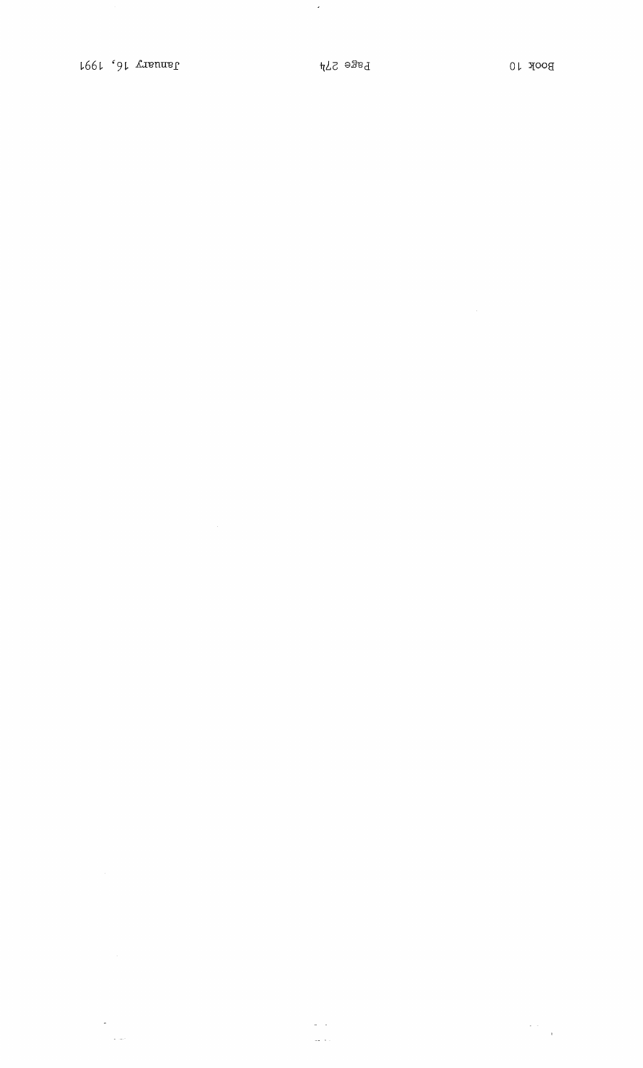lannary 16, 1991

 $\mathcal{A}$ 

 $\frac{1}{\sigma}$  .  $\omega$  .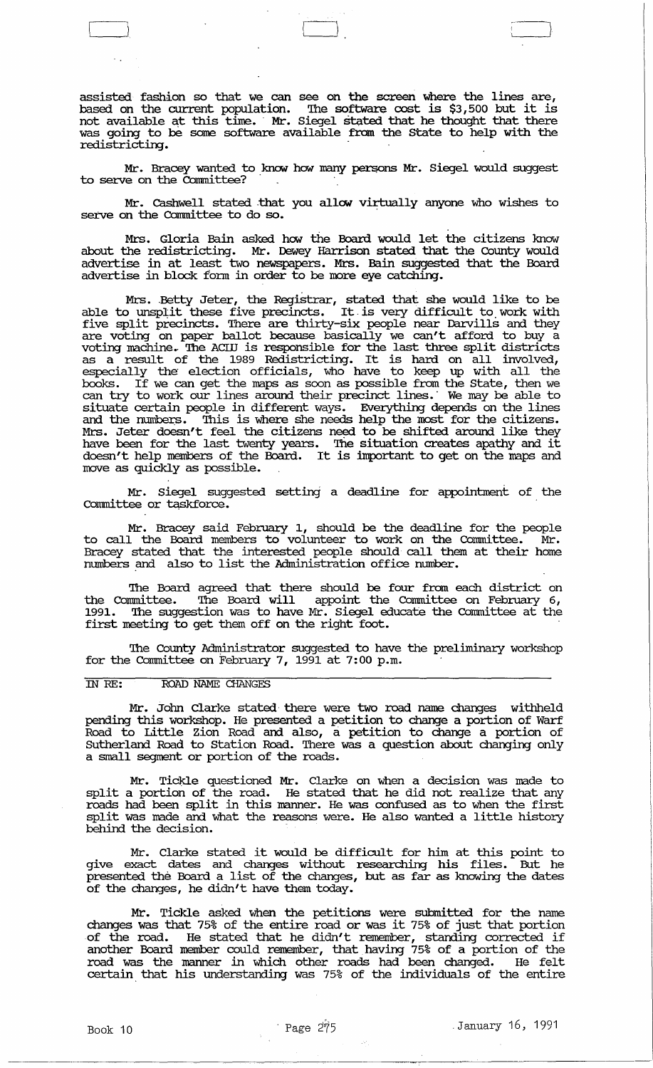assisted fashion so that we can see on the screen where the lines are, based on the current population. '!he software cost is \$3,500 but it is not available at this time. Mr. Siegel stated that he thought that there was going to be some software available from the state to help with the redistricting.

Mr. Bracey wanted to know how many persons Mr. Siegel would suggest to serve on the Committee?

Mr. cashwell stated .that you allow virtually anyone who wishes to setve on the Committee to do so. .

Mrs. Gloria Bain asked how the Board would let the citizens know about the redistricting. Mr. Dewey Harrison stated that the County would advertise in at least two newspapers. Mrs. Bain suggested that the Board advertise in block fonn in order to be more eye catching.

Mrs. Betty Jeter, the Registrar, stated that she would like to be able to unsplit these five precincts. It is very difficult to work with five split precincts. There are thirty-six people near Darvills and they are voting on paper ballot because basically we can't afford to buy a voting machine~ The ACID is responsible for the last three split districts as a result of the 1989 Redistricting. It is hard on all involved, especially the election officials, who have to keep up with all the books. If we can get the maps as soon as possible from the State, then we can try to work our lines around their precinct lines. We may be able to situate certain people in different ways. Everything depends on the lines and the numbers. This is where she needs help the most for the citizens. Mrs. Jeter doesn't feel the citizens need to be shifted around like they have been for the last twenty years. The situation creates apathy and it doesn't help members of the Board. It is important to get on the maps and doesn't help members of the Board. It is important to get on the maps and move as quickly as possible.

Mr. Siegel suggested setting a deadline for appointment of the committee or taskforce.

Mr. Bracey said February 1, should be the deadline for the people to call the Board members to volunteer to work on the Committee. Mr. Bracey stated that the interested people should' call them at their home numbers and also to list the Administration office number.

The Board agreed that there should be four from each district on the Committee. The Board will appoint the Committee on February 6, The Board will appoint the Committee on February 6, 1991. The suggestion was to have Mr. Siegel educate the Committee at the first meeting to get them off on the right foot.

The County Administrator suggested to have the preliminary workshop for the Committee on February 7, 1991 at 7:00 p.m. .

# IN RE: ROAD NAME CHANGES

Mr. Jolm Clarke stated· there were two road name changes withheld pending this workshop. He presented a petition to change a portion of Warf Road to Little Zion Road and also, a petition to change a portion of SUtherland Road to station Road. '!here was a question about changing only a small segment or portion of the roads.

Mr. Tickle questioned Mr. Clarke on when a decision was made to split a portion of the road. He stated that he did not realize that any roads had been split in this manner. He was confused as to when the first split was made and what the reasons were. He also wanted a little history behind the decision.

Mr. Clarke stated it would be difficult for him at this point to give exact dates and changes without researching his files. But he presented the Board a list of the changes, but as far as knowing the dates of the changes, he didn't have them today.

Mr. Tickle asked when the petitions were submitted for the name changes was that 75% of the entire road or was it 75% of just that portion of the road. He stated that he didn't remember, standing corrected if another Board member could remember, that having 75% of a portion of the road was the manner in which other roads had been changed. He felt certain. that his understanding was 75% of the individuals of the entire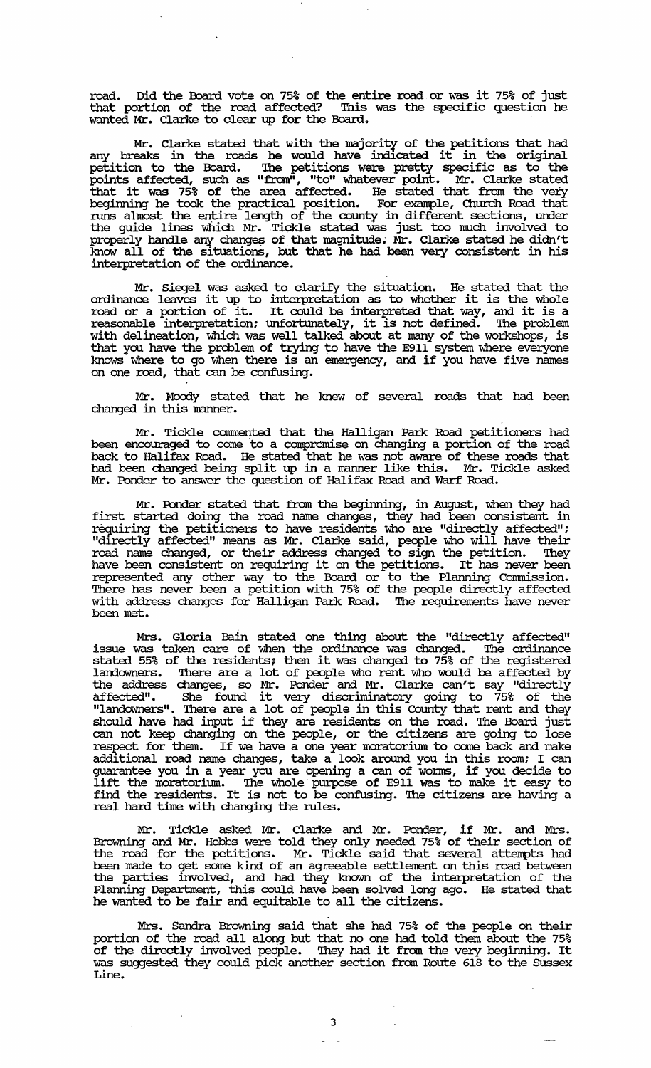road. Did the Board vote on 75% of the entire road or was it 75% of just that portion of the road affected? This was the specific question he that portion of the road affected? This was the specific question he wanted Mr. Clarke to clear up for the Board.

Mr. Clarke stated that with the majority of the petitions that had any breaks in the roads he would have indicated it in the original petition to the Board. The petitions were pretty specific as to the points affected, such as "from", "to" whatever point. Mr'. Clarke stated that it was 75% of the area affected. He stated that from the very beginning he took the practical position. For example, Church Road that nms almost the entire length of the county in different sections, under the guide lines which Mr. Tickle stated was just too much involved to properly handle any changes of that magnitude. Mr. Clarke stated he didn't know all of the situations, but that he had been very consistent in his interpretation of the ordinance.

Mr. Siegel was asked to clarify the situation. He stated that the ordinance leaves it up to interpretation as to whether it is the whole road or a portion of it. It could be interpreted that way, and it is a reasonable interpretation; unfortunately, it is not defined. The problem with delineation, which was well talked about at many of the workshops, is that you have the problem of trying to have the E911 system where everyone knows where to go when there is an emergency, and if you have five names on one road, that can be confusing.

Mr. Moody stated that he knew of several roads that had been changed in this manner.

Mr. Tickle commented that the Halligan Park Road petitioners had been encouraged to come to a compromise on changing a portion of the road back to Halifax Road. He stated that he was not aware of these roads that had been changed being split up in a manner like this. Mr. Tickle asked Mr. Ponder to answer the question of Halifax Road and Warf Road.

Mr. Ponder stated that from the beginning, in August, when they had first started doing the road name changes, they had been consistent in requiring the petitioners to have residents who are "directly affected"; "directly affected" means as Mr'. Clarke said, people who will have their road name changed, or their address changed to sign the petition. They have been consistent on requiring it on the petitions. It has never been represented any other way to the Board or to the Plarming Connnission. There has never been a petition with 75% of the people directly affected with address changes for Halligan Park Road. The requirements have never been met.

Mrs. Gloria Bain stated one thing about the "directly affected" issue was taken care of when the ordinance was changed. The ordinance stated 55% of the residents; then it was changed to 75% of the registered landowners. There are a lot of people who rent who would be affected by the address changes, so Mr. Ponder and Mr. Clarke can't say "directly affected". She found it very discriminatory going to 75% of the "landowners". There are a lot of people in this County that rent and they should have had input if they are residents on the road. The Board just can not keep changing on the people, or the citizens are going to lose respect for them. If we have a one year moratorium to come back and make additional road name changes, take a look around you in this room; I can guarantee you in a year you are opening a can of wonns, if you decide to guarantee you in a year you are opening a can or worms, ir you decide to<br>lift the moratorium. The whole purpose of E911 was to make it easy to find the monatorium. The whole purpose of ESII was to make it easy to<br>find the residents. It is not to be confusing. The citizens are having a real hard time with changing the rules.

Mr. Tickle asked Mr. Clarke and Mr. Ponder, if Mr. and Mrs. Browning and Mr'. Hobbs were told they only needed 75% of their section of the road for the petitions. Mr'. Tickle said that several attempts had been made to get some kind of an agreeable settlement on this road between the parties involved, and had they known of the interpretation of the Plarming Department, this could have been solved long ago. He stated that he wanted to be fair and equitable to all the citizens.

Mrs. Sandra Browning said that she had 75% of the people on their portion of the road all along but that no one had told them about the 75% portion of the road all along but that ho one had told them about the 75%<br>of the directly involved people. They had it from the very beginning. It was suggested they could pick another section from Route 618 to the SUssex Line.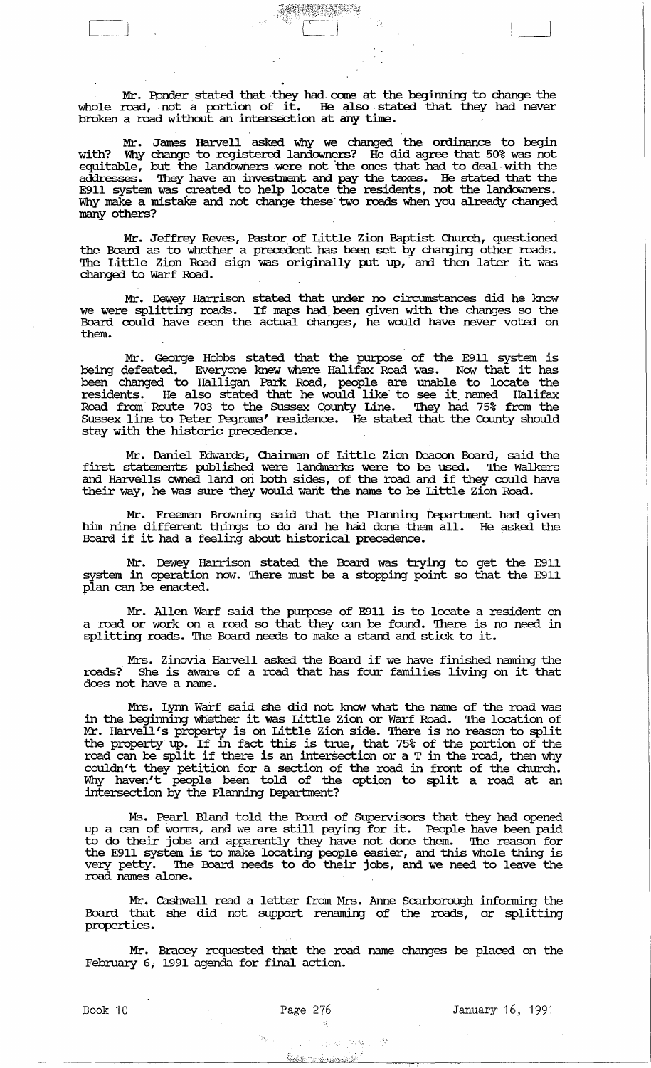Mr. Ponder stated that they had come at the beginning to change the whole road, not a portion of it. He also stated that they had never broken a road without an intersection at any tine.

Mr. James Harvell asked why we changed the ordinance to begin with? Why change to registered landowners? He did agree that 50% was not equitable, but the landowners were not the ones that had to deal with the addresses. They have an investment and pay the taxes. He stated that the E911 system was created to help locate the residents, not the landowners. Why make a mistake and not change these two roads when you already changed many others?

Mr. Jeffrey Reves, Pastor. of Little Zion Baptist Church, questioned the Board as to whether a precedent has been set by changing other roads. The Little Zion Road sign was originally put up, and then later it was changed to Warf Road.

Mr. Dewey Harrison stated that under no circumstances did he know we were splitting roads. If maps had been given with the changes so the Board could have seen the actual changes, he would have never voted on them.

Mr. George Hobbs stated that the purpose of the E911 system is being defeated. Everyone knew where Halifax Road was. Now that it has been changed to Halligan Park Road, people are unable to locate the been changed to halligan Park Road, people are unable to locate the<br>residents. He also stated that he would like to see it named Halifax Road from Route 703 to the Sussex County Line. They had 75% from the SUssex line to Peter Pegrams' residence. He stated that the County should stay with the historic precedence.

Mr. Daniel Edwards, Chainnan of Little Zion Deacon Board, said the first statements published were landmarks were to be used. The Walkers and Harvells owned land ori both sides, of the road and if they could have their way, he was sure they would warit the name to be Little Zion Road.

Mr. Freeman Browning said that the Planning Department had given him nine different things to do and he had done them all. He asked the nim nine different things to do and he had done then<br>Board if it had a feeling about historical precedence.

Mr. Dewey Harrison stated the Board was trying to get the E911 system in operation now. There must be a stopping point so that the E911 plan can be enacted.

Mr. Allen Warf said the purpose of E911 is to locate a resident on a road or work on a road so that they can be found. There is no need in splitting roads. The Board needs to make a stand and stick to it.

Mrs. zinovia Harvell asked the Board if we have finished naming the roads? She is aware of a road that has four families living on it that roads? She is aware<br>does not have a name.

Mrs. Lyrm Warf said she did not know what the name of the road was in the beginning whether it was Little Zion or Warf Road. The location of Mr. Harvell's property is on Little Zion side. There is no reason to split the property up. If in fact this is true, that 75% of the portion of the road can be split if there is an intersection or a T in the road, then why couldn't they petition for a section of the road in front of the church. Why haven't people been told of the option to split a road at an intersection by the Planning Department?

Ms. Pearl Bland told the Board of SUpervisors that they had opened up a can of worms, and we are still paying for it. People have been paid to do their jobs and apparently they have not done them. The reason for the E911 system is to make locating people easier, and this whole thing is very petty. The Board needs to do their jobs, and we need to leave the road names alone.

Mr. Cashwell read a letter from Mrs. Anne Scarborough informing the Board that she did not support renaming of the roads, or splitting properties •

Mr. Bracey requested that the road name changes be placed on the February 6; 1991 agenda for final action.

Book 10 **Page 276** Page 276 January 16, 1991

Cl